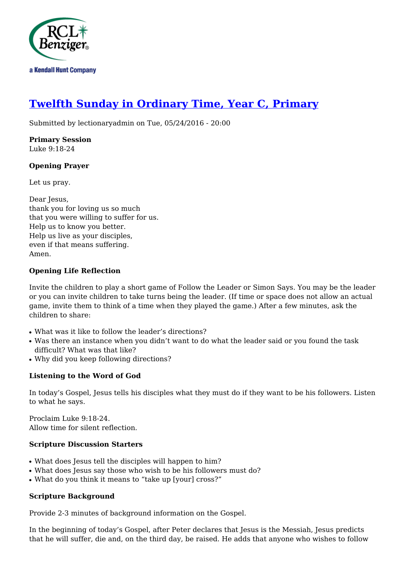

# **[Twelfth Sunday in Ordinary Time, Year C, Primary](http://rclblectionary.com/twelfth-sunday-ordinary-time-year-c-primary)**

Submitted by lectionaryadmin on Tue, 05/24/2016 - 20:00

**Primary Session** Luke 9:18-24

## **Opening Prayer**

Let us pray.

Dear Jesus, thank you for loving us so much that you were willing to suffer for us. Help us to know you better. Help us live as your disciples, even if that means suffering. Amen.

## **Opening Life Reflection**

Invite the children to play a short game of Follow the Leader or Simon Says. You may be the leader or you can invite children to take turns being the leader. (If time or space does not allow an actual game, invite them to think of a time when they played the game.) After a few minutes, ask the children to share:

- What was it like to follow the leader's directions?
- Was there an instance when you didn't want to do what the leader said or you found the task difficult? What was that like?
- Why did you keep following directions?

## **Listening to the Word of God**

In today's Gospel, Jesus tells his disciples what they must do if they want to be his followers. Listen to what he says.

Proclaim Luke 9:18-24. Allow time for silent reflection.

## **Scripture Discussion Starters**

- What does Jesus tell the disciples will happen to him?
- What does Jesus say those who wish to be his followers must do?
- What do you think it means to "take up [your] cross?"

## **Scripture Background**

Provide 2-3 minutes of background information on the Gospel.

In the beginning of today's Gospel, after Peter declares that Jesus is the Messiah, Jesus predicts that he will suffer, die and, on the third day, be raised. He adds that anyone who wishes to follow